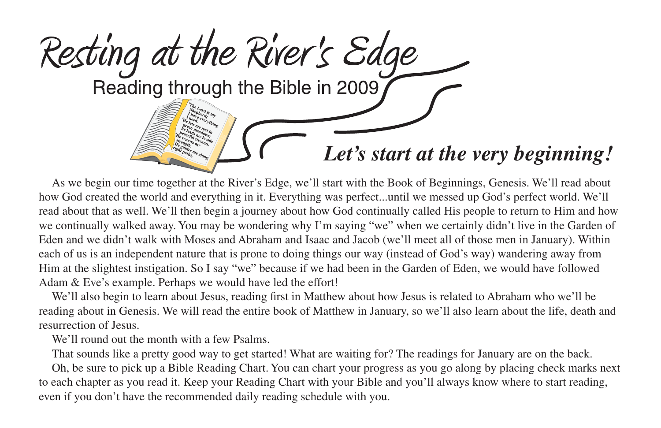

As we begin our time together at the River's Edge, we'll start with the Book of Beginnings, Genesis. We'll read about how God created the world and everything in it. Everything was perfect...until we messed up God's perfect world. We'll read about that as well. We'll then begin a journey about how God continually called His people to return to Him and how we continually walked away. You may be wondering why I'm saying "we" when we certainly didn't live in the Garden of Eden and we didn't walk with Moses and Abraham and Isaac and Jacob (we'll meet all of those men in January). Within each of us is an independent nature that is prone to doing things our way (instead of God's way) wandering away from Him at the slightest instigation. So I say "we" because if we had been in the Garden of Eden, we would have followed Adam & Eve's example. Perhaps we would have led the effort!

We'll also begin to learn about Jesus, reading first in Matthew about how Jesus is related to Abraham who we'll be reading about in Genesis. We will read the entire book of Matthew in January, so we'll also learn about the life, death and resurrection of Jesus.

We'll round out the month with a few Psalms.

That sounds like a pretty good way to get started! What are waiting for? The readings for January are on the back.

Oh, be sure to pick up a Bible Reading Chart. You can chart your progress as you go along by placing check marks next to each chapter as you read it. Keep your Reading Chart with your Bible and you'll always know where to start reading, even if you don't have the recommended daily reading schedule with you.